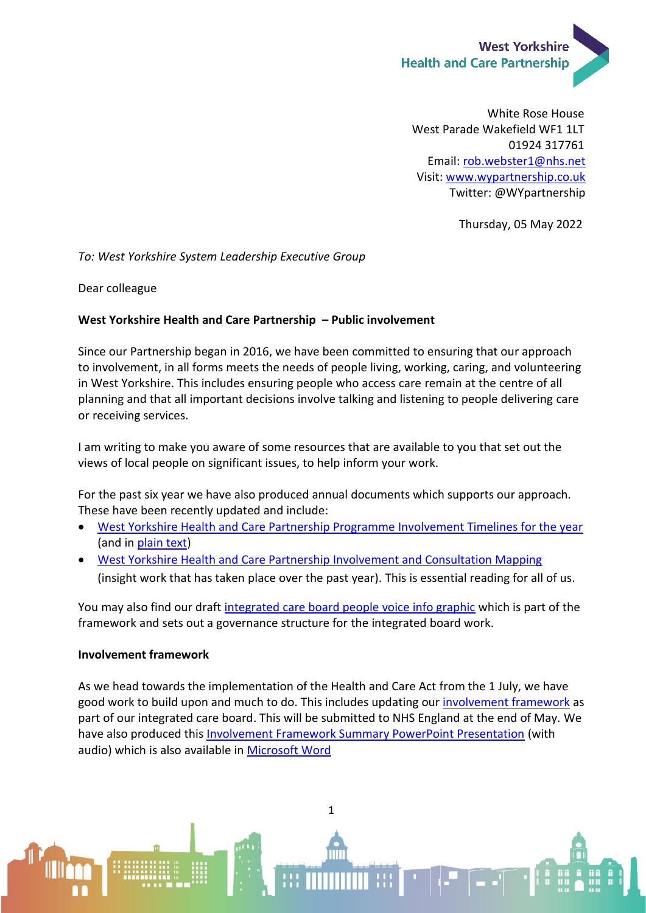

White Rose House West Parade Wakefield WF1 1LT 01924 317761 Email: [rob.webster1@nhs.net](mailto:rob.webster1@nhs.net) Visit: [www.wypartnership.co.uk](http://www.wyhpartnership.co.uk/) Twitter: @WYpartnership

Thursday, 05 May 2022

## *To: West Yorkshire System Leadership Executive Group*

Dear colleague

### **West Yorkshire Health and Care Partnership – Public involvement**

Since our Partnership began in 2016, we have been committed to ensuring that our approach to involvement, in all forms meets the needs of people living, working, caring, and volunteering in West Yorkshire. This includes ensuring people who access care remain at the centre of all planning and that all important decisions involve talking and listening to people delivering care or receiving services.

I am writing to make you aware of some resources that are available to you that set out the views of local people on significant issues, to help inform your work.

For the past six year we have also produced annual documents which supports our approach. These have been recently updated and include:

- [West Yorkshire Health and Care Partnership Programme Involvement Timelines for the year](https://www.wypartnership.co.uk/application/files/5716/5097/8289/WYCP_EC_Timeline_2022.pdf) (and in [plain text\)](https://mail.wypartnership.co.uk/download_file/view/6918/201)
- [West Yorkshire Health and Care Partnership Involvement and Consultation Mapping](https://www.wypartnership.co.uk/application/files/2016/5098/0870/WYHCP_Engagement_Mapping_Report_May_2022_002.pdf) (insight work that has taken place over the past year). This is essential reading for all of us.

You may also find our draft [integrated care board people voice info graphic](https://www.wypartnership.co.uk/download_file/view/7100/2374) which is part of the framework and sets out a governance structure for the integrated board work.

### **Involvement framework**

As we head towards the implementation of the Health and Care Act from the 1 July, we have good work to build upon and much to do. This includes updating our [involvement framework](https://www.wypartnership.co.uk/application/files/9216/5098/3400/Involvement_Framework_April_2022_FINAL.pdf) as part of our integrated care board. This will be submitted to NHS England at the end of May. We have also produced this [Involvement Framework Summary PowerPoint Presentation](https://www.wypartnership.co.uk/download_file/view/7027/201) (with audio) which is also available in [Microsoft Word](https://www.wypartnership.co.uk/download_file/view/7028/201)

1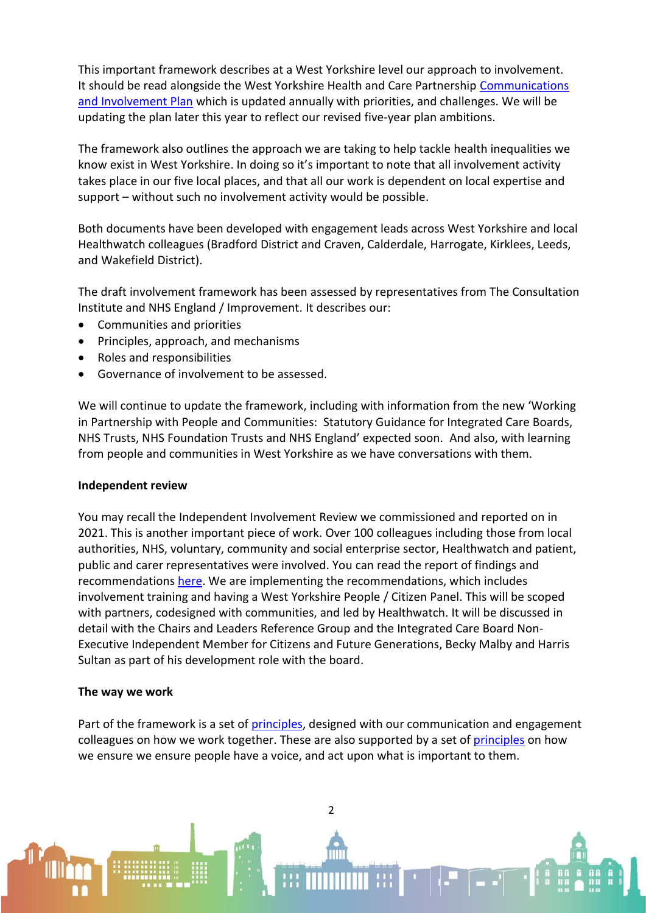This important framework describes at a West Yorkshire level our approach to involvement. It should be read alongside the West Yorkshire Health and Care Partnership [Communications](https://www.wypartnership.co.uk/get-involved)  [and Involvement Plan](https://www.wypartnership.co.uk/get-involved) which is updated annually with priorities, and challenges. We will be updating the plan later this year to reflect our revised five-year plan ambitions.

The framework also outlines the approach we are taking to help tackle health inequalities we know exist in West Yorkshire. In doing so it's important to note that all involvement activity takes place in our five local places, and that all our work is dependent on local expertise and support – without such no involvement activity would be possible.

Both documents have been developed with engagement leads across West Yorkshire and local Healthwatch colleagues (Bradford District and Craven, Calderdale, Harrogate, Kirklees, Leeds, and Wakefield District).

The draft involvement framework has been assessed by representatives from The Consultation Institute and NHS England / Improvement. It describes our:

- Communities and priorities
- Principles, approach, and mechanisms
- Roles and responsibilities
- Governance of involvement to be assessed.

We will continue to update the framework, including with information from the new 'Working in Partnership with People and Communities: Statutory Guidance for Integrated Care Boards, NHS Trusts, NHS Foundation Trusts and NHS England' expected soon. And also, with learning from people and communities in West Yorkshire as we have conversations with them.

### **Independent review**

You may recall the Independent Involvement Review we commissioned and reported on in 2021. This is another important piece of work. Over 100 colleagues including those from local authorities, NHS, voluntary, community and social enterprise sector, Healthwatch and patient, public and carer representatives were involved. You can read the report of findings and recommendations [here.](https://www.wypartnership.co.uk/download_file/view/4581/1530) We are implementing the recommendations, which includes involvement training and having a West Yorkshire People / Citizen Panel. This will be scoped with partners, codesigned with communities, and led by Healthwatch. It will be discussed in detail with the Chairs and Leaders Reference Group and the Integrated Care Board Non-Executive Independent Member for Citizens and Future Generations, Becky Malby and Harris Sultan as part of his development role with the board.

# **The way we work**

Part of the framework is a set of [principles,](https://mail.wypartnership.co.uk/download_file/view/5628/201) designed with our communication and engagement colleagues on how we work together. These are also supported by a set of [principles](https://mail.wypartnership.co.uk/download_file/view/5920/201) on how we ensure we ensure people have a voice, and act upon what is important to them.

2